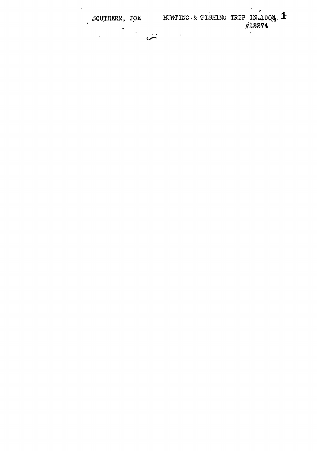SQUTHERN, JOE HUNTING & FISHING TRIP IN 1904.  $\mathcal{F}^{\mathcal{G}}$  $\ddot{\bullet}$  $\ddot{\phantom{0}}$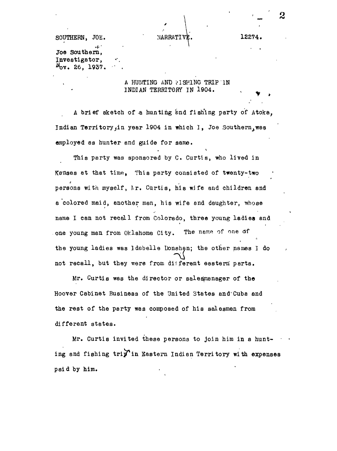SOUTHERN, JOE.  $NARRATIVk$ . 12274.

Joe Southern, Investigator,  $N_{\text{OV}}$ . 26, 1937.  $\cdot$  .

> A HUNTING AND FISHING TRIP IN INDIAN TERRITORY IN 1904.

**2**

A brief sketch of a hunting and fishing party of Atoka, Indian Territory, in year 1904 in which I, Joe Southern, was employed as hunter and guide for same.

This party was sponsored by C. Curtis, who lived in Kansas at that time, This party consisted of twenty-two persons with myself, *I*r. Curtis, his wife and children and a colored maid, another man, his wife and daughter, whose name I can not recall from Colorado, three young ladies and one young man from Oklahoma City. The name of one of the young ladies was Idabelle Donehan; the other names I do not recall, but they were from different eastern' parts.

Mr. Curtis was the director or saledmanager of the Hoover Cabinet Business of the United States and Cuba and the rest of the party was composed of his salesmen from different states.

Mr. Curtis invited these persons to join him in a hunting and fishing trip in Eastern Indian Territory with expenses paid by him.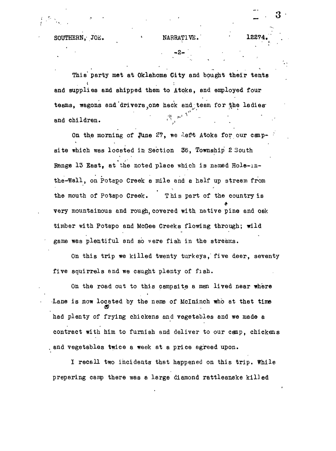This party met at Oklahoma City and bought their tents and supplies and shipped them to Atoke, end employed four teams, wagons and drivers, one hack and team for the ladies and children.  $\mathbb{R}^{n \times n}$ 

On the morning of June  $27$ , we deft Atoka for our campsite which was located in Section 36, Township 2 South Range 13 East, at the noted place which is named Hole-inthe-'Wall, on Potepo Creek a mile end a half up stream from the mouth of Potapo Creek. This part of the country is very mountainous and rough, covered with native pine and oak timber with Potapo and McGoe Creeks flowing through; wild game was plentiful and so were fish in the streams.

On this trip we killed twenty turkeys, five deer, seventy five squirrels end we caught plenty of fish.

On the road out to this campsite a man lived near where Lane is now located by the name of McIninch who at that time had plenty of frying chickens and vegetables and we made a contract with him to furnish and deliver to our camp, chickens . and vegetables twice a week at a price agreed upon.

I recall two incidents that happened on this trip. While preparing camp there was a large diamond rattlesnake killed